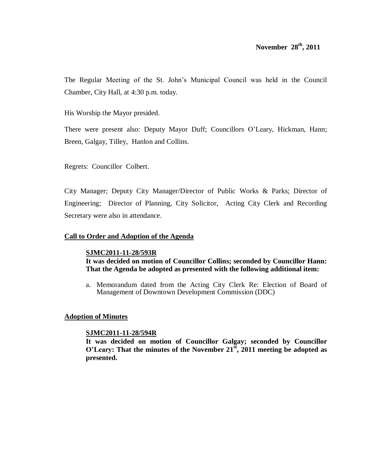The Regular Meeting of the St. John's Municipal Council was held in the Council Chamber, City Hall, at 4:30 p.m. today.

His Worship the Mayor presided.

There were present also: Deputy Mayor Duff; Councillors O'Leary, Hickman, Hann; Breen, Galgay, Tilley, Hanlon and Collins.

Regrets: Councillor Colbert.

City Manager; Deputy City Manager/Director of Public Works & Parks; Director of Engineering; Director of Planning, City Solicitor, Acting City Clerk and Recording Secretary were also in attendance.

## **Call to Order and Adoption of the Agenda**

## **SJMC2011-11-28/593R**

**It was decided on motion of Councillor Collins; seconded by Councillor Hann: That the Agenda be adopted as presented with the following additional item:**

a. Memorandum dated from the Acting City Clerk Re: Election of Board of Management of Downtown Development Commission (DDC)

## **Adoption of Minutes**

## **SJMC2011-11-28/594R**

**It was decided on motion of Councillor Galgay; seconded by Councillor O'Leary: That the minutes of the November 21st , 2011 meeting be adopted as presented.**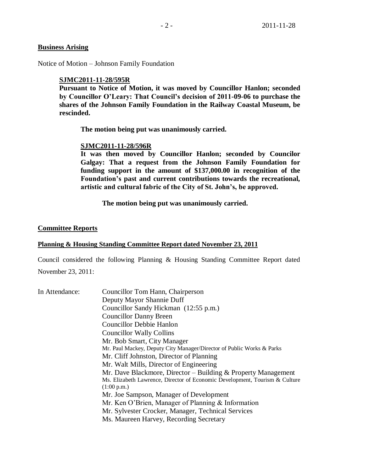# **Business Arising**

Notice of Motion – Johnson Family Foundation

#### **SJMC2011-11-28/595R**

**Pursuant to Notice of Motion, it was moved by Councillor Hanlon; seconded by Councillor O'Leary: That Council's decision of 2011-09-06 to purchase the shares of the Johnson Family Foundation in the Railway Coastal Museum, be rescinded.** 

**The motion being put was unanimously carried.**

#### **SJMC2011-11-28/596R**

**It was then moved by Councillor Hanlon; seconded by Councilor Galgay: That a request from the Johnson Family Foundation for funding support in the amount of \$137,000.00 in recognition of the Foundation's past and current contributions towards the recreational, artistic and cultural fabric of the City of St. John's, be approved.**

**The motion being put was unanimously carried.** 

#### **Committee Reports**

#### **Planning & Housing Standing Committee Report dated November 23, 2011**

Council considered the following Planning & Housing Standing Committee Report dated November 23, 2011:

| In Attendance: | Councillor Tom Hann, Chairperson                                            |
|----------------|-----------------------------------------------------------------------------|
|                | Deputy Mayor Shannie Duff                                                   |
|                | Councillor Sandy Hickman (12:55 p.m.)                                       |
|                | <b>Councillor Danny Breen</b>                                               |
|                | <b>Councillor Debbie Hanlon</b>                                             |
|                | <b>Councillor Wally Collins</b>                                             |
|                | Mr. Bob Smart, City Manager                                                 |
|                | Mr. Paul Mackey, Deputy City Manager/Director of Public Works & Parks       |
|                | Mr. Cliff Johnston, Director of Planning                                    |
|                | Mr. Walt Mills, Director of Engineering                                     |
|                | Mr. Dave Blackmore, Director – Building & Property Management               |
|                | Ms. Elizabeth Lawrence, Director of Economic Development, Tourism & Culture |
|                | (1:00 p.m.)                                                                 |
|                | Mr. Joe Sampson, Manager of Development                                     |
|                | Mr. Ken O'Brien, Manager of Planning & Information                          |
|                | Mr. Sylvester Crocker, Manager, Technical Services                          |
|                | Ms. Maureen Harvey, Recording Secretary                                     |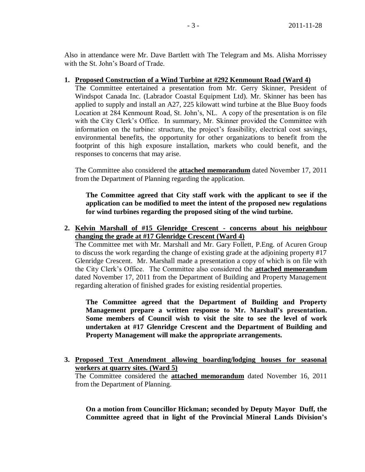Also in attendance were Mr. Dave Bartlett with The Telegram and Ms. Alisha Morrissey with the St. John's Board of Trade.

## **1. Proposed Construction of a Wind Turbine at #292 Kenmount Road (Ward 4)**

The Committee entertained a presentation from Mr. Gerry Skinner, President of Windspot Canada Inc. (Labrador Coastal Equipment Ltd). Mr. Skinner has been has applied to supply and install an A27, 225 kilowatt wind turbine at the Blue Buoy foods Location at 284 Kenmount Road, St. John's, NL. A copy of the presentation is on file with the City Clerk's Office. In summary, Mr. Skinner provided the Committee with information on the turbine: structure, the project's feasibility, electrical cost savings, environmental benefits, the opportunity for other organizations to benefit from the footprint of this high exposure installation, markets who could benefit, and the responses to concerns that may arise.

The Committee also considered the **attached memorandum** dated November 17, 2011 from the Department of Planning regarding the application.

**The Committee agreed that City staff work with the applicant to see if the application can be modified to meet the intent of the proposed new regulations for wind turbines regarding the proposed siting of the wind turbine.**

**2. Kelvin Marshall of #15 Glenridge Crescent - concerns about his neighbour changing the grade at #17 Glenridge Crescent (Ward 4)** 

The Committee met with Mr. Marshall and Mr. Gary Follett, P.Eng. of Acuren Group to discuss the work regarding the change of existing grade at the adjoining property #17 Glenridge Crescent. Mr. Marshall made a presentation a copy of which is on file with the City Clerk's Office. The Committee also considered the **attached memorandum** dated November 17, 2011 from the Department of Building and Property Management regarding alteration of finished grades for existing residential properties.

**The Committee agreed that the Department of Building and Property Management prepare a written response to Mr. Marshall's presentation. Some members of Council wish to visit the site to see the level of work undertaken at #17 Glenridge Crescent and the Department of Building and Property Management will make the appropriate arrangements.** 

**3. Proposed Text Amendment allowing boarding/lodging houses for seasonal workers at quarry sites. (Ward 5)** 

The Committee considered the **attached memorandum** dated November 16, 2011 from the Department of Planning.

**On a motion from Councillor Hickman; seconded by Deputy Mayor Duff, the Committee agreed that in light of the Provincial Mineral Lands Division's**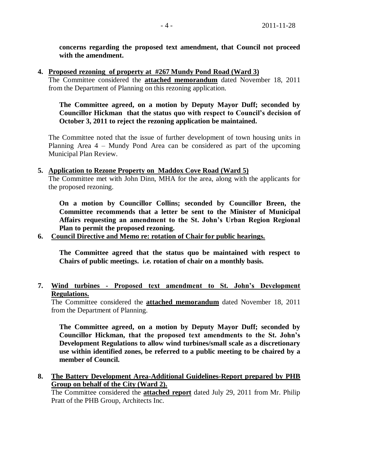**concerns regarding the proposed text amendment, that Council not proceed with the amendment.**

**4. Proposed rezoning of property at #267 Mundy Pond Road (Ward 3)**

The Committee considered the **attached memorandum** dated November 18, 2011 from the Department of Planning on this rezoning application.

**The Committee agreed, on a motion by Deputy Mayor Duff; seconded by Councillor Hickman that the status quo with respect to Council's decision of October 3, 2011 to reject the rezoning application be maintained.** 

The Committee noted that the issue of further development of town housing units in Planning Area 4 – Mundy Pond Area can be considered as part of the upcoming Municipal Plan Review.

### **5. Application to Rezone Property on Maddox Cove Road (Ward 5)**

The Committee met with John Dinn, MHA for the area, along with the applicants for the proposed rezoning.

**On a motion by Councillor Collins; seconded by Councillor Breen, the Committee recommends that a letter be sent to the Minister of Municipal Affairs requesting an amendment to the St. John's Urban Region Regional Plan to permit the proposed rezoning.** 

## **6. Council Directive and Memo re: rotation of Chair for public hearings.**

**The Committee agreed that the status quo be maintained with respect to Chairs of public meetings. i.e. rotation of chair on a monthly basis.**

**7. Wind turbines - Proposed text amendment to St. John's Development Regulations.**

The Committee considered the **attached memorandum** dated November 18, 2011 from the Department of Planning.

**The Committee agreed, on a motion by Deputy Mayor Duff; seconded by Councillor Hickman, that the proposed text amendments to the St. John's Development Regulations to allow wind turbines/small scale as a discretionary use within identified zones, be referred to a public meeting to be chaired by a member of Council.**

**8. The Battery Development Area-Additional Guidelines-Report prepared by PHB Group on behalf of the City (Ward 2).**

The Committee considered the **attached report** dated July 29, 2011 from Mr. Philip Pratt of the PHB Group, Architects Inc.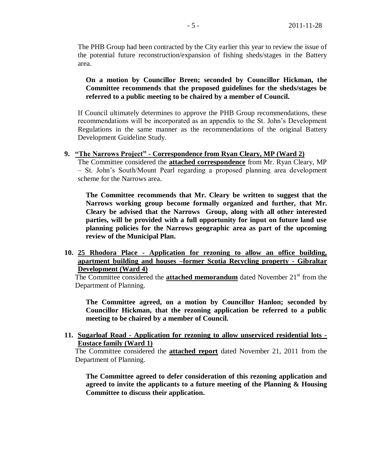The PHB Group had been contracted by the City earlier this year to review the issue of the potential future reconstruction/expansion of fishing sheds/stages in the Battery area.

## **On a motion by Councillor Breen; seconded by Councillor Hickman, the Committee recommends that the proposed guidelines for the sheds/stages be referred to a public meeting to be chaired by a member of Council.**

If Council ultimately determines to approve the PHB Group recommendations, these recommendations will be incorporated as an appendix to the St. John's Development Regulations in the same manner as the recommendations of the original Battery Development Guideline Study.

### **9. "The Narrows Project" - Correspondence from Ryan Cleary, MP (Ward 2)**

The Committee considered the **attached correspondence** from Mr. Ryan Cleary, MP – St. John's South/Mount Pearl regarding a proposed planning area development scheme for the Narrows area.

**The Committee recommends that Mr. Cleary be written to suggest that the Narrows working group become formally organized and further, that Mr. Cleary be advised that the Narrows Group, along with all other interested parties, will be provided with a full opportunity for input on future land use planning policies for the Narrows geographic area as part of the upcoming review of the Municipal Plan.**

**10. 25 Rhodora Place - Application for rezoning to allow an office building, apartment building and houses –former Scotia Recycling property - Gibraltar Development (Ward 4)**

The Committee considered the **attached memorandum** dated November 21<sup>st</sup> from the Department of Planning.

**The Committee agreed, on a motion by Councillor Hanlon; seconded by Councillor Hickman, that the rezoning application be referred to a public meeting to be chaired by a member of Council.**

**11. Sugarloaf Road - Application for rezoning to allow unserviced residential lots - Eustace family (Ward 1)** 

The Committee considered the **attached report** dated November 21, 2011 from the Department of Planning.

**The Committee agreed to defer consideration of this rezoning application and agreed to invite the applicants to a future meeting of the Planning & Housing Committee to discuss their application.**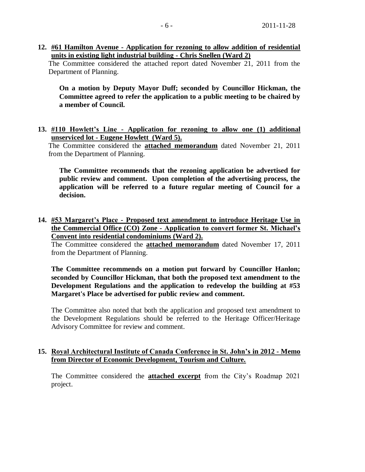**12. #61 Hamilton Avenue - Application for rezoning to allow addition of residential units in existing light industrial building - Chris Snellen (Ward 2)**

The Committee considered the attached report dated November 21, 2011 from the Department of Planning.

**On a motion by Deputy Mayor Duff; seconded by Councillor Hickman, the Committee agreed to refer the application to a public meeting to be chaired by a member of Council.** 

**13. #110 Howlett's Line - Application for rezoning to allow one (1) additional unserviced lot - Eugene Howlett (Ward 5).**

The Committee considered the **attached memorandum** dated November 21, 2011 from the Department of Planning.

**The Committee recommends that the rezoning application be advertised for public review and comment. Upon completion of the advertising process, the application will be referred to a future regular meeting of Council for a decision.**

**14. #53 Margaret's Place - Proposed text amendment to introduce Heritage Use in the Commercial Office (CO) Zone - Application to convert former St. Michael's Convent into residential condominiums (Ward 2).**

The Committee considered the **attached memorandum** dated November 17, 2011 from the Department of Planning.

**The Committee recommends on a motion put forward by Councillor Hanlon; seconded by Councillor Hickman, that both the proposed text amendment to the Development Regulations and the application to redevelop the building at #53 Margaret's Place be advertised for public review and comment.** 

The Committee also noted that both the application and proposed text amendment to the Development Regulations should be referred to the Heritage Officer/Heritage Advisory Committee for review and comment.

## **15. Royal Architectural Institute of Canada Conference in St. John's in 2012 - Memo from Director of Economic Development, Tourism and Culture.**

The Committee considered the **attached excerpt** from the City's Roadmap 2021 project.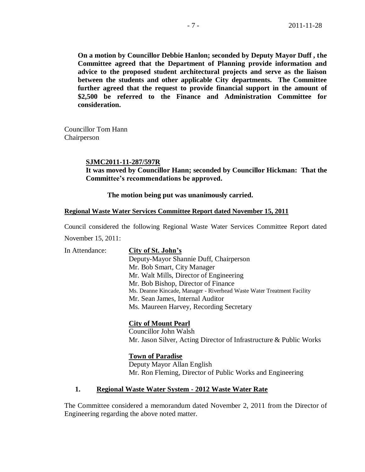**On a motion by Councillor Debbie Hanlon; seconded by Deputy Mayor Duff , the Committee agreed that the Department of Planning provide information and advice to the proposed student architectural projects and serve as the liaison between the students and other applicable City departments. The Committee further agreed that the request to provide financial support in the amount of \$2,500 be referred to the Finance and Administration Committee for consideration.**

Councillor Tom Hann Chairperson

#### **SJMC2011-11-287/597R**

**It was moved by Councillor Hann; seconded by Councillor Hickman: That the Committee's recommendations be approved.**

#### **The motion being put was unanimously carried.**

#### **Regional Waste Water Services Committee Report dated November 15, 2011**

Council considered the following Regional Waste Water Services Committee Report dated November 15, 2011:

| In Attendance: | City of St. John's                                                     |
|----------------|------------------------------------------------------------------------|
|                | Deputy-Mayor Shannie Duff, Chairperson                                 |
|                | Mr. Bob Smart, City Manager                                            |
|                | Mr. Walt Mills, Director of Engineering                                |
|                | Mr. Bob Bishop, Director of Finance                                    |
|                | Ms. Deanne Kincade, Manager - Riverhead Waste Water Treatment Facility |
|                | Mr. Sean James, Internal Auditor                                       |
|                | Ms. Maureen Harvey, Recording Secretary                                |
|                | <b>City of Mount Pearl</b>                                             |
|                | Councillor John Walsh                                                  |
|                | Mr. Jason Silver, Acting Director of Infrastructure & Public Works     |

### **Town of Paradise**

Deputy Mayor Allan English Mr. Ron Fleming, Director of Public Works and Engineering

### **1. Regional Waste Water System - 2012 Waste Water Rate**

The Committee considered a memorandum dated November 2, 2011 from the Director of Engineering regarding the above noted matter.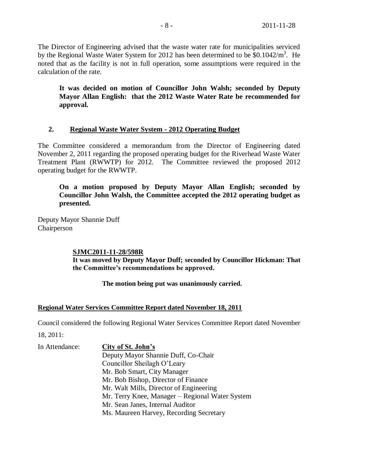The Director of Engineering advised that the waste water rate for municipalities serviced by the Regional Waste Water System for 2012 has been determined to be \$0.1042/m<sup>3</sup>. He noted that as the facility is not in full operation, some assumptions were required in the calculation of the rate.

**It was decided on motion of Councillor John Walsh; seconded by Deputy Mayor Allan English: that the 2012 Waste Water Rate be recommended for approval.**

# **2. Regional Waste Water System - 2012 Operating Budget**

The Committee considered a memorandum from the Director of Engineering dated November 2, 2011 regarding the proposed operating budget for the Riverhead Waste Water Treatment Plant (RWWTP) for 2012. The Committee reviewed the proposed 2012 operating budget for the RWWTP.

**On a motion proposed by Deputy Mayor Allan English; seconded by Councillor John Walsh, the Committee accepted the 2012 operating budget as presented.** 

Deputy Mayor Shannie Duff Chairperson

# **SJMC2011-11-28/598R**

**It was moved by Deputy Mayor Duff; seconded by Councillor Hickman: That the Committee's recommendations be approved.**

**The motion being put was unanimously carried.** 

# **Regional Water Services Committee Report dated November 18, 2011**

Council considered the following Regional Water Services Committee Report dated November

18, 2011:

In Attendance: **City of St. John's** Deputy Mayor Shannie Duff, Co-Chair Councillor Sheilagh O'Leary Mr. Bob Smart, City Manager Mr. Bob Bishop, Director of Finance Mr. Walt Mills, Director of Engineering Mr. Terry Knee, Manager – Regional Water System Mr. Sean Janes, Internal Auditor Ms. Maureen Harvey, Recording Secretary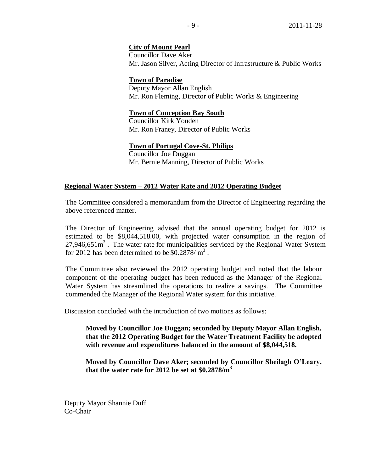## **City of Mount Pearl**

Councillor Dave Aker Mr. Jason Silver, Acting Director of Infrastructure & Public Works

## **Town of Paradise**

Deputy Mayor Allan English Mr. Ron Fleming, Director of Public Works & Engineering

## **Town of Conception Bay South**

Councillor Kirk Youden Mr. Ron Franey, Director of Public Works

## **Town of Portugal Cove-St. Philips**

Councillor Joe Duggan Mr. Bernie Manning, Director of Public Works

## **Regional Water System – 2012 Water Rate and 2012 Operating Budget**

The Committee considered a memorandum from the Director of Engineering regarding the above referenced matter.

The Director of Engineering advised that the annual operating budget for 2012 is estimated to be \$8,044,518.00, with projected water consumption in the region of  $27,946,651m<sup>3</sup>$ . The water rate for municipalities serviced by the Regional Water System for 2012 has been determined to be  $$0.2878/m<sup>3</sup>$ .

The Committee also reviewed the 2012 operating budget and noted that the labour component of the operating budget has been reduced as the Manager of the Regional Water System has streamlined the operations to realize a savings. The Committee commended the Manager of the Regional Water system for this initiative.

Discussion concluded with the introduction of two motions as follows:

**Moved by Councillor Joe Duggan; seconded by Deputy Mayor Allan English, that the 2012 Operating Budget for the Water Treatment Facility be adopted with revenue and expenditures balanced in the amount of \$8,044,518.**

**Moved by Councillor Dave Aker; seconded by Councillor Sheilagh O'Leary, that the water rate for 2012 be set at \$0.2878/m<sup>3</sup>**

Deputy Mayor Shannie Duff Co-Chair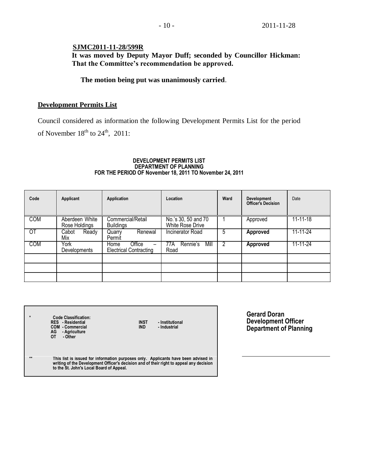# **SJMC2011-11-28/599R**

**It was moved by Deputy Mayor Duff; seconded by Councillor Hickman: That the Committee's recommendation be approved.**

## **The motion being put was unanimously carried**.

## **Development Permits List**

 $\Gamma$ 

Council considered as information the following Development Permits List for the period of November  $18<sup>th</sup>$  to  $24<sup>th</sup>$ , 2011:

#### **DEVELOPMENT PERMITS LIST DEPARTMENT OF PLANNING FOR THE PERIOD OF November 18, 2011 TO November 24, 2011**

| Code            | Applicant                       | Application                                     | Location                                       | Ward | <b>Development</b><br><b>Officer's Decision</b> | Date           |
|-----------------|---------------------------------|-------------------------------------------------|------------------------------------------------|------|-------------------------------------------------|----------------|
| <b>COM</b>      | Aberdeen White<br>Rose Holdings | Commercial/Retail<br><b>Buildings</b>           | No.'s 30, 50 and 70<br><b>White Rose Drive</b> |      | Approved                                        | $11 - 11 - 18$ |
| $\overline{OT}$ | Ready<br>Cabot<br>Mix           | Renewal<br>Quarry<br>Permit                     | <b>Incinerator Road</b>                        | 5    | Approved                                        | 11-11-24       |
| <b>COM</b>      | York<br>Developments            | Office<br>Home<br><b>Electrical Contracting</b> | Mill<br>Rennie's<br>77A<br>Road                |      | <b>Approved</b>                                 | 11-11-24       |
|                 |                                 |                                                 |                                                |      |                                                 |                |
|                 |                                 |                                                 |                                                |      |                                                 |                |
|                 |                                 |                                                 |                                                |      |                                                 |                |

| $\star$ | <b>Code Classification:</b><br><b>INST</b><br><b>RES</b> - Residential<br>- Institutional<br><b>COM - Commercial</b><br>IND<br>- Industrial<br>AG<br>- Agriculture<br>OТ<br>- Other                                       |
|---------|---------------------------------------------------------------------------------------------------------------------------------------------------------------------------------------------------------------------------|
| $**$    | This list is issued for information purposes only. Applicants have been advised in<br>writing of the Development Officer's decision and of their right to appeal any decision<br>to the St. John's Local Board of Appeal. |

**Gerard Doran Development Officer Department of Planning**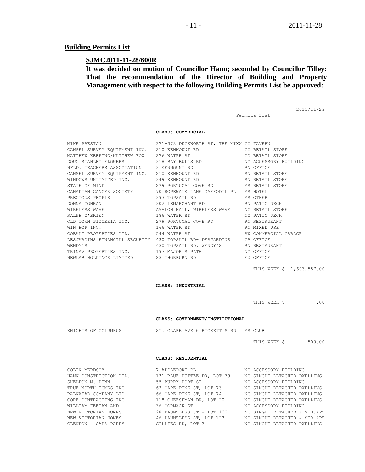#### **Building Permits List**

#### **SJMC2011-11-28/600R**

**It was decided on motion of Councillor Hann; seconded by Councillor Tilley: That the recommendation of the Director of Building and Property Management with respect to the following Building Permits List be approved:**

Permits List

2011/11/23

**CLASS: COMMERCIAL**

|                                          | MIKE PRESTON 371-373 DUCKWORTH ST, THE MIXX CO TAVERN                           |              |
|------------------------------------------|---------------------------------------------------------------------------------|--------------|
|                                          |                                                                                 |              |
|                                          |                                                                                 |              |
|                                          | DOUG STANLEY FLOWERS 318 BAY BULLS RD NC ACCESSORY BUILDING                     |              |
| NFLD. TEACHERS ASSOCIATION 3 KENMOUNT RD |                                                                                 | RN OFFICE    |
|                                          | CANSEL SURVEY EQUIPMENT INC. 210 KENMOUNT RD SN RETAIL STORE                    |              |
|                                          | WINDOWS UNLIMITED INC. 349 KENMOUNT RD SN RETAIL STORE                          |              |
|                                          | STATE OF MIND <b>STATE OF STATE OF STATE OF STATE STATE</b>                     |              |
|                                          | CANADIAN CANCER SOCIETY 70 ROPEWALK LANE DAFFODIL PL MS HOTEL                   |              |
|                                          | PRECIOUS PEOPLE 393 TOPSAIL RD MS OTHER                                         |              |
|                                          |                                                                                 |              |
|                                          | WIRELESS WAVE <b>EXECUTE:</b> AVALON MALL, WIRELESS WAVE <b>MC RETAIL STORE</b> |              |
|                                          |                                                                                 |              |
|                                          | OLD TOWN PIZZERIA INC. 279 PORTUGAL COVE RD RN RESTAURANT                       |              |
| WIN HOP INC. 166 WATER ST                |                                                                                 | RN MIXED USE |
|                                          | COBALT PROPERTIES LTD. 544 WATER ST SW COMMERCIAL GARAGE                        |              |
|                                          | DESJARDINS FINANCIAL SECURITY 430 TOPSAIL RD- DESJARDINS CROFFICE               |              |
| WENDY'S                                  | 430 TOPSAIL RD, WENDY'S RN RESTAURANT                                           |              |
|                                          | TRINAV PROPERTIES INC. 197 MAJOR'S PATH THE NO OFFICE                           |              |
|                                          |                                                                                 |              |
|                                          |                                                                                 |              |

THIS WEEK \$ 1,603,557.00

**CLASS: INDUSTRIAL**

THIS WEEK \$ .00

#### **CLASS: GOVERNMENT/INSTITUTIONAL**

| KNIGHTS OF COLUMBUS |  |  |  |  |  | ST. CLARE AVE @ RICKETT'S RD |  |  | MS CLUB |
|---------------------|--|--|--|--|--|------------------------------|--|--|---------|
|---------------------|--|--|--|--|--|------------------------------|--|--|---------|

THIS WEEK \$ 500.00

#### **CLASS: RESIDENTIAL**

COLIN MERDSOY 7 APPLEDORE PL 6 MC ACCESSORY BUILDING<br>
HANN CONSTRUCTION LTD. 131 BLUE PUTTEE DR, LOT 79 MC SINGLE DETACHED DWELLING HANN CONSTRUCTION LTD. 131 BLUE PUTTEE DR, LOT 79 NC SINGLE DETACHED DWELLING SHELDON M. DINN 655 BURRY PORT ST NO ACCESSORY BUILDING TRUE NORTH HOMES INC. 62 CAPE PINE ST, LOT 73 NC SINGLE DETACHED DWELLING BALNAFAD COMPANY LTD 66 CAPE PINE ST, LOT 74 NC SINGLE DETACHED DWELLING CORE CONTRACTING INC. 418 CHEESEMAN DR, LOT 20 NC SINGLE DETACHED DWELLING WILLIAM FEEHAN AND 36 CORMACK ST NC ACCESSORY BUILDING NEW VICTORIAN HOMES 28 DAUNTLESS ST - LOT 132 NC SINGLE DETACHED & SUB.APT NEW VICTORIAN HOMES 46 DAUNTLESS ST, LOT 123 NC SINGLE DETACHED & SUB.APT GLENDON & CARA PARDY GILLIES RD, LOT 3 NC SINGLE DETACHED DWELLING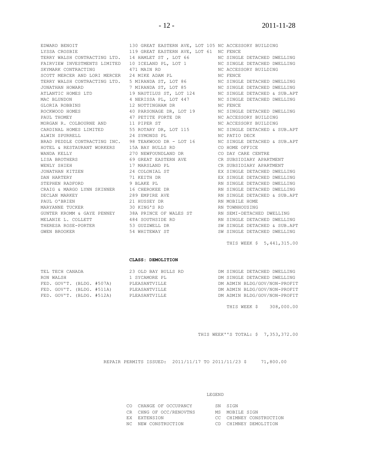SCOTT MERCER AND LORI MERCER 24 MIKE ADAM PL

EDWARD BENOIT 130 GREAT EASTERN AVE, LOT 105 NC ACCESSORY BUILDING LYSSA CROSBIE 119 GREAT EASTERN AVE, LOT 61 NC FENCE TERRY WALSH CONTRACTING LTD. 14 HAMLET ST, LOT 66 NO SINGLE DETACHED DWELLING<br>FAIRVIEW INVESTMENTS LIMITED 10 ICELAND PL, LOT 1 NO SINGLE DETACHED DWELLING FAIRY WALSH CONTRACTING LID. IN IGNIEL OF , LOT USE NO SINGLE DETACHED DWI<br>FAIRVIEW INVESTMENTS LIMITED 10 ICELAND PL, LOT 1 NC SINGLE DETACHED DWI<br>SKYMARK CONTRACTING 471 MAIN RD NC ACCESSORY BUILDING SKYMARK CONTRACTING  $\begin{array}{ccc} 471 & \text{MAIN} & \text{RD} \end{array}$  NC ACCESSORY BUILDING TERRY WALSH CONTRACTING LTD. 5 MIRANDA ST, LOT 86 NC SINGLE DETACHED DWELLING JONATHAN HOWARD 7 MIRANDA ST, LOT 85 NC SINGLE DETACHED DWELLING ATLANTIC HOMES LTD 19 NAUTILUS ST, LOT 124 NC SINGLE DETACHED & SUB.APT MAC BLUNDON 4 NERISSA PL, LOT 447 NC SINGLE DETACHED DWELLING GLORIA ROBBINS **12 NOTTINGHAM DR** NC FENCE ROCKWOOD HOMES 6 10 PARSONAGE DR, LOT 19 NC SINGLE DETACHED DWELLING PAUL THOMEY **17 PETITE FORTE DR** NC ACCESSORY BUILDING MORGAN R. COLBOURNE AND 11 PIPER ST NORGAN RECESSORY BUILDING CARDINAL HOMES LIMITED 55 ROTARY DR, LOT 115 NC SINGLE DETACHED & SUB.APT ALWIN SPURRELL 24 SYMONDS PL NC PATIO DECK BRAD PEDDLE CONTRACTING INC. 98 TEAKWOOD DR - LOT 16 NC SINGLE DETACHED & SUB.APT HOTEL & RESTAURANT WORKERS 15A BAY BULLS RD CO HOME OFFICE WANDA KELLY 270 NEWFOUNDLAND DR CO DAY CARE CENTRE LISA BROTHERS 69 GREAT EASTERN AVE CR SUBSIDIARY APARTMENT WENLY SHIEH 17 MARSLAND PL CR SUBSIDIARY APARTMENT JONATHAN KITZEN 24 COLONIAL ST EX SINGLE DETACHED DWELLING DAN HARTERY **12 SINGLE DETACHED DETACHED DETACHED** DWELLING STEPHEN RADFORD 9 BLAKE PL RN SINGLE DETACHED DWELLING CRAIG & MARGO LYNN SKINNER 16 CHEROKEE DR RN SINGLE DETACHED DWELLING DECLAN MARKEY 289 EMPIRE AVE RN SINGLE DETACHED & SUB.APT PAUL O'BRIEN 21 HUSSEY DR RN MOBILE HOME MARYANNE TUCKER 30 KING'S RD RN TOWNHOUSING GUNTER KROMM & GAYE PENNEY 38A PRINCE OF WALES ST AN SEMI-DETACHED DWELLING MELANIE L. COLLETT 484 SOUTHSIDE RD RN SINGLE DETACHED DWELLING THERESA ROSE-PORTER 53 GUZZWELL DR SW SINGLE DETACHED & SUB.APT GWEN BROOKER 54 WHITEWAY ST SW SINGLE DETACHED DWELLING

THIS WEEK \$ 5,441,315.00

#### **CLASS: DEMOLITION**

| TEL TECH CANADA           |  | 23 OLD BAY BULLS RD |  | DM SINGLE DETACHED DWELLING |                              |
|---------------------------|--|---------------------|--|-----------------------------|------------------------------|
| RON WALSH                 |  | 1 SYCAMORE PL       |  |                             | DM SINGLE DETACHED DWELLING  |
| FED. GOV'T. (BLDG. #507A) |  | PLEASANTVILLE       |  |                             | DM ADMIN BLDG/GOV/NON-PROFIT |
| FED. GOV'T. (BLDG. #511A) |  | PLEASANTVILLE       |  |                             | DM ADMIN BLDG/GOV/NON-PROFIT |
| FED. GOV'T. (BLDG. #512A) |  | PLEASANTVILLE       |  |                             | DM ADMIN BLDG/GOV/NON-PROFIT |
|                           |  |                     |  |                             |                              |

THIS WEEK \$ 308,000.00

THIS WEEK''S TOTAL: \$ 7,353,372.00

REPAIR PERMITS ISSUED: 2011/11/17 TO 2011/11/23 \$ 71,800.00

#### LEGEND

| CO CHANGE OF OCCUPANCY  | SN STGN                 |
|-------------------------|-------------------------|
| CR CHNG OF OCC/RENOVTNS | MS MOBILE SIGN          |
| EX EXTENSION            | CC CHIMNEY CONSTRUCTION |

- 
- 
- 
- 
- 
- NC NEW CONSTRUCTION CD CHIMNEY DEMOLITION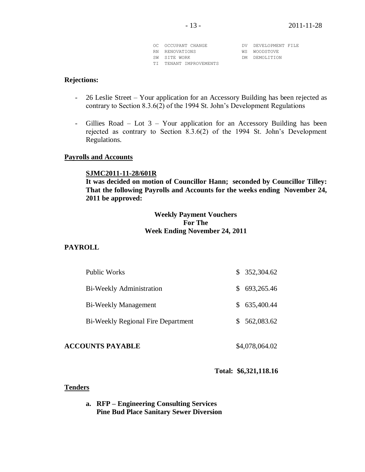| OC OCCUPANT CHANGE     | DV DEVELOPMENT FILE |
|------------------------|---------------------|
| RN RENOVATIONS         | WS WOODSTOVE        |
| SW SITE WORK           | DM DEMOLTTION       |
| TI TENANT IMPROVEMENTS |                     |

## **Rejections:**

- 26 Leslie Street Your application for an Accessory Building has been rejected as contrary to Section 8.3.6(2) of the 1994 St. John's Development Regulations
- Gillies Road Lot 3 Your application for an Accessory Building has been rejected as contrary to Section 8.3.6(2) of the 1994 St. John's Development Regulations.

#### **Payrolls and Accounts**

#### **SJMC2011-11-28/601R**

**It was decided on motion of Councillor Hann; seconded by Councillor Tilley: That the following Payrolls and Accounts for the weeks ending November 24, 2011 be approved:** 

## **Weekly Payment Vouchers For The Week Ending November 24, 2011**

#### **PAYROLL**

| Public Works                              | \$352,304.62 |
|-------------------------------------------|--------------|
| Bi-Weekly Administration                  | \$693,265.46 |
| <b>Bi-Weekly Management</b>               | \$635,400.44 |
| <b>Bi-Weekly Regional Fire Department</b> | \$562,083.62 |
|                                           |              |

# **ACCOUNTS PAYABLE** \$4,078,064.02

## **Total: \$6,321,118.16**

#### **Tenders**

**a. RFP – Engineering Consulting Services Pine Bud Place Sanitary Sewer Diversion**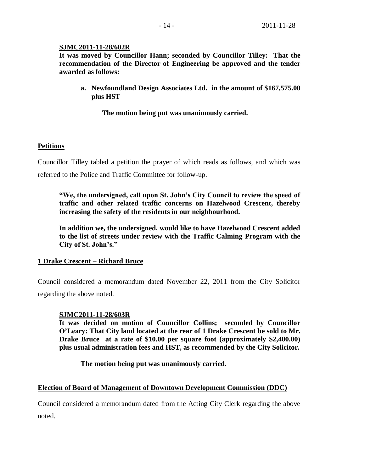# **SJMC2011-11-28/602R**

**It was moved by Councillor Hann; seconded by Councillor Tilley: That the recommendation of the Director of Engineering be approved and the tender awarded as follows:**

**a. Newfoundland Design Associates Ltd. in the amount of \$167,575.00 plus HST**

**The motion being put was unanimously carried.**

# **Petitions**

Councillor Tilley tabled a petition the prayer of which reads as follows, and which was referred to the Police and Traffic Committee for follow-up.

**"We, the undersigned, call upon St. John's City Council to review the speed of traffic and other related traffic concerns on Hazelwood Crescent, thereby increasing the safety of the residents in our neighbourhood.**

**In addition we, the undersigned, would like to have Hazelwood Crescent added to the list of streets under review with the Traffic Calming Program with the City of St. John's."**

# **1 Drake Crescent – Richard Bruce**

Council considered a memorandum dated November 22, 2011 from the City Solicitor regarding the above noted.

## **SJMC2011-11-28/603R**

**It was decided on motion of Councillor Collins; seconded by Councillor O'Leary: That City land located at the rear of 1 Drake Crescent be sold to Mr. Drake Bruce at a rate of \$10.00 per square foot (approximately \$2,400.00) plus usual administration fees and HST, as recommended by the City Solicitor.**

**The motion being put was unanimously carried.**

## **Election of Board of Management of Downtown Development Commission (DDC)**

Council considered a memorandum dated from the Acting City Clerk regarding the above noted.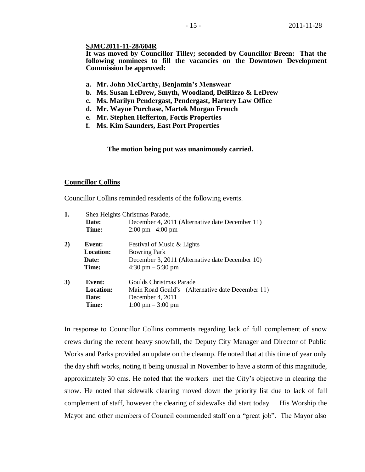## **SJMC2011-11-28/604R**

**It was moved by Councillor Tilley; seconded by Councillor Breen: That the following nominees to fill the vacancies on the Downtown Development Commission be approved:**

- **a. Mr. John McCarthy, Benjamin's Menswear**
- **b. Ms. Susan LeDrew, Smyth, Woodland, DelRizzo & LeDrew**
- **c. Ms. Marilyn Pendergast, Pendergast, Hartery Law Office**
- **d. Mr. Wayne Purchase, Martek Morgan French**
- **e. Mr. Stephen Hefferton, Fortis Properties**
- **f. Ms. Kim Saunders, East Port Properties**

**The motion being put was unanimously carried.** 

#### **Councillor Collins**

Councillor Collins reminded residents of the following events.

| 1. |                  | Shea Heights Christmas Parade,                   |
|----|------------------|--------------------------------------------------|
|    | Date:            | December 4, 2011 (Alternative date December 11)  |
|    | Time:            | $2:00 \text{ pm} - 4:00 \text{ pm}$              |
| 2) | Event:           | Festival of Music & Lights                       |
|    | <b>Location:</b> | <b>Bowring Park</b>                              |
|    | Date:            | December 3, 2011 (Alternative date December 10)  |
|    | Time:            | $4:30 \text{ pm} - 5:30 \text{ pm}$              |
| 3) | Event:           | Goulds Christmas Parade                          |
|    | <b>Location:</b> | Main Road Gould's (Alternative date December 11) |
|    | Date:            | December 4, 2011                                 |
|    | Time:            | $1:00 \text{ pm} - 3:00 \text{ pm}$              |
|    |                  |                                                  |

In response to Councillor Collins comments regarding lack of full complement of snow crews during the recent heavy snowfall, the Deputy City Manager and Director of Public Works and Parks provided an update on the cleanup. He noted that at this time of year only the day shift works, noting it being unusual in November to have a storm of this magnitude, approximately 30 cms. He noted that the workers met the City's objective in clearing the snow. He noted that sidewalk clearing moved down the priority list due to lack of full complement of staff, however the clearing of sidewalks did start today. His Worship the Mayor and other members of Council commended staff on a "great job". The Mayor also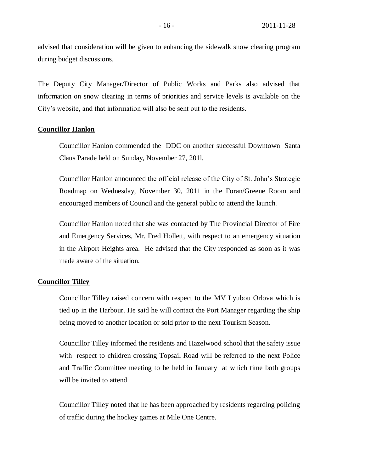advised that consideration will be given to enhancing the sidewalk snow clearing program during budget discussions.

The Deputy City Manager/Director of Public Works and Parks also advised that information on snow clearing in terms of priorities and service levels is available on the City's website, and that information will also be sent out to the residents.

### **Councillor Hanlon**

Councillor Hanlon commended the DDC on another successful Downtown Santa Claus Parade held on Sunday, November 27, 201l.

Councillor Hanlon announced the official release of the City of St. John's Strategic Roadmap on Wednesday, November 30, 2011 in the Foran/Greene Room and encouraged members of Council and the general public to attend the launch.

Councillor Hanlon noted that she was contacted by The Provincial Director of Fire and Emergency Services, Mr. Fred Hollett, with respect to an emergency situation in the Airport Heights area. He advised that the City responded as soon as it was made aware of the situation.

#### **Councillor Tilley**

Councillor Tilley raised concern with respect to the MV Lyubou Orlova which is tied up in the Harbour. He said he will contact the Port Manager regarding the ship being moved to another location or sold prior to the next Tourism Season.

Councillor Tilley informed the residents and Hazelwood school that the safety issue with respect to children crossing Topsail Road will be referred to the next Police and Traffic Committee meeting to be held in January at which time both groups will be invited to attend.

Councillor Tilley noted that he has been approached by residents regarding policing of traffic during the hockey games at Mile One Centre.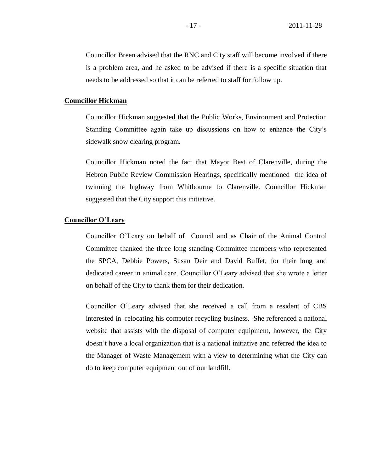Councillor Breen advised that the RNC and City staff will become involved if there is a problem area, and he asked to be advised if there is a specific situation that needs to be addressed so that it can be referred to staff for follow up.

#### **Councillor Hickman**

Councillor Hickman suggested that the Public Works, Environment and Protection Standing Committee again take up discussions on how to enhance the City's sidewalk snow clearing program.

Councillor Hickman noted the fact that Mayor Best of Clarenville, during the Hebron Public Review Commission Hearings, specifically mentioned the idea of twinning the highway from Whitbourne to Clarenville. Councillor Hickman suggested that the City support this initiative.

## **Councillor O'Leary**

Councillor O'Leary on behalf of Council and as Chair of the Animal Control Committee thanked the three long standing Committee members who represented the SPCA, Debbie Powers, Susan Deir and David Buffet, for their long and dedicated career in animal care. Councillor O'Leary advised that she wrote a letter on behalf of the City to thank them for their dedication.

Councillor O'Leary advised that she received a call from a resident of CBS interested in relocating his computer recycling business. She referenced a national website that assists with the disposal of computer equipment, however, the City doesn't have a local organization that is a national initiative and referred the idea to the Manager of Waste Management with a view to determining what the City can do to keep computer equipment out of our landfill.